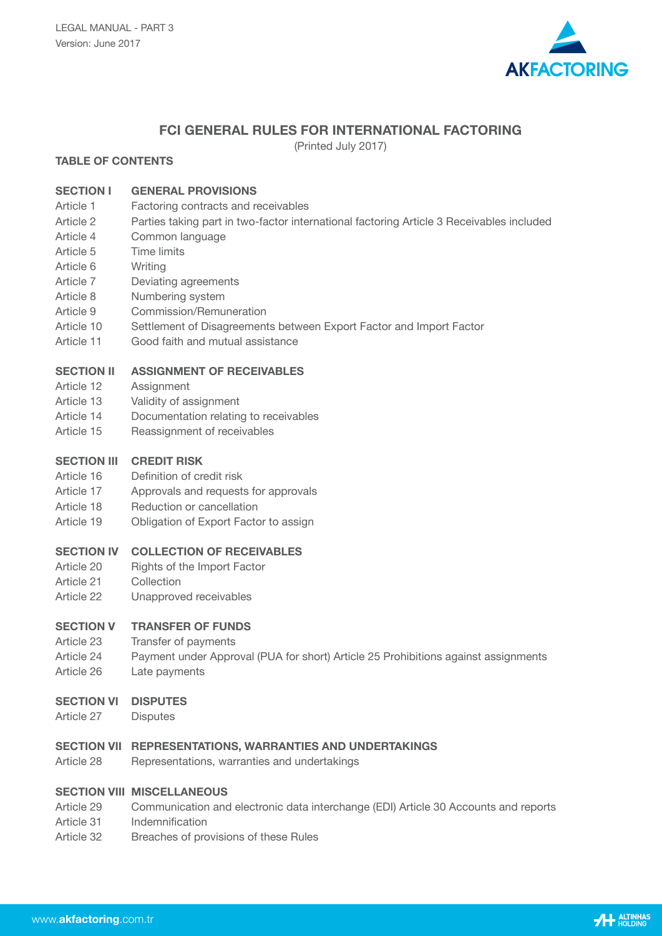

# **FCI GENERAL RULES FOR INTERNATIONAL FACTORING**

(Printed July 2017)

# **TABLE OF CONTENTS**

# **SECTION I GENERAL PROVISIONS**

- Article 1 Factoring contracts and receivables
- Article 2 Parties taking part in two-factor international factoring Article 3 Receivables included
- Article 4 Common language
- Article 5 Time limits
- Article 6 Writing
- Article 7 Deviating agreements
- Article 8 Numbering system
- Article 9 Commission/Remuneration
- Article 10 Settlement of Disagreements between Export Factor and Import Factor
- Article 11 Good faith and mutual assistance

# **SECTION II ASSIGNMENT OF RECEIVABLES**

- Article 12 Assignment
- Article 13 Validity of assignment
- Article 14 Documentation relating to receivables
- Article 15 Reassignment of receivables

### **SECTION III CREDIT RISK**

- Article 16 Definition of credit risk
- Article 17 Approvals and requests for approvals
- Article 18 Reduction or cancellation
- Article 19 Obligation of Export Factor to assign

### **SECTION IV COLLECTION OF RECEIVABLES**

- Article 20 Rights of the Import Factor
- Article 21 Collection
- Article 22 Unapproved receivables

### **SECTION V TRANSFER OF FUNDS**

- Article 23 Transfer of payments
- Article 24 Payment under Approval (PUA for short) Article 25 Prohibitions against assignments
- Article 26 Late payments

#### **SECTION VI DISPUTES**

Article 27 Disputes

#### **SECTION VII REPRESENTATIONS, WARRANTIES AND UNDERTAKINGS**

Article 28 Representations, warranties and undertakings

### **SECTION VIII MISCELLANEOUS**

- Article 29 Communication and electronic data interchange (EDI) Article 30 Accounts and reports
- Article 31 Indemnification
- Article 32 Breaches of provisions of these Rules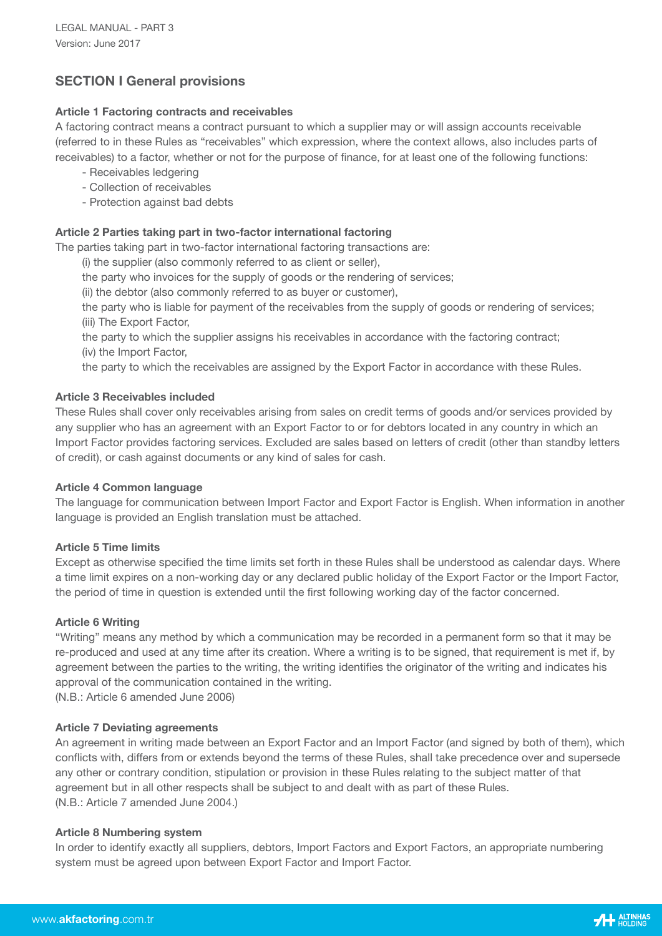# **SECTION I General provisions**

## **Article 1 Factoring contracts and receivables**

A factoring contract means a contract pursuant to which a supplier may or will assign accounts receivable (referred to in these Rules as "receivables" which expression, where the context allows, also includes parts of receivables) to a factor, whether or not for the purpose of finance, for at least one of the following functions:

- Receivables ledgering
- Collection of receivables
- Protection against bad debts

## **Article 2 Parties taking part in two-factor international factoring**

The parties taking part in two-factor international factoring transactions are:

(i) the supplier (also commonly referred to as client or seller),

the party who invoices for the supply of goods or the rendering of services;

(ii) the debtor (also commonly referred to as buyer or customer),

 the party who is liable for payment of the receivables from the supply of goods or rendering of services; (iii) The Export Factor,

 the party to which the supplier assigns his receivables in accordance with the factoring contract; (iv) the Import Factor,

the party to which the receivables are assigned by the Export Factor in accordance with these Rules.

### **Article 3 Receivables included**

These Rules shall cover only receivables arising from sales on credit terms of goods and/or services provided by any supplier who has an agreement with an Export Factor to or for debtors located in any country in which an Import Factor provides factoring services. Excluded are sales based on letters of credit (other than standby letters of credit), or cash against documents or any kind of sales for cash.

### **Article 4 Common language**

The language for communication between Import Factor and Export Factor is English. When information in another language is provided an English translation must be attached.

### **Article 5 Time limits**

Except as otherwise specified the time limits set forth in these Rules shall be understood as calendar days. Where a time limit expires on a non-working day or any declared public holiday of the Export Factor or the Import Factor, the period of time in question is extended until the first following working day of the factor concerned.

### **Article 6 Writing**

"Writing" means any method by which a communication may be recorded in a permanent form so that it may be re-produced and used at any time after its creation. Where a writing is to be signed, that requirement is met if, by agreement between the parties to the writing, the writing identifies the originator of the writing and indicates his approval of the communication contained in the writing.

(N.B.: Article 6 amended June 2006)

### **Article 7 Deviating agreements**

An agreement in writing made between an Export Factor and an Import Factor (and signed by both of them), which conflicts with, differs from or extends beyond the terms of these Rules, shall take precedence over and supersede any other or contrary condition, stipulation or provision in these Rules relating to the subject matter of that agreement but in all other respects shall be subject to and dealt with as part of these Rules. (N.B.: Article 7 amended June 2004.)

#### **Article 8 Numbering system**

In order to identify exactly all suppliers, debtors, Import Factors and Export Factors, an appropriate numbering system must be agreed upon between Export Factor and Import Factor.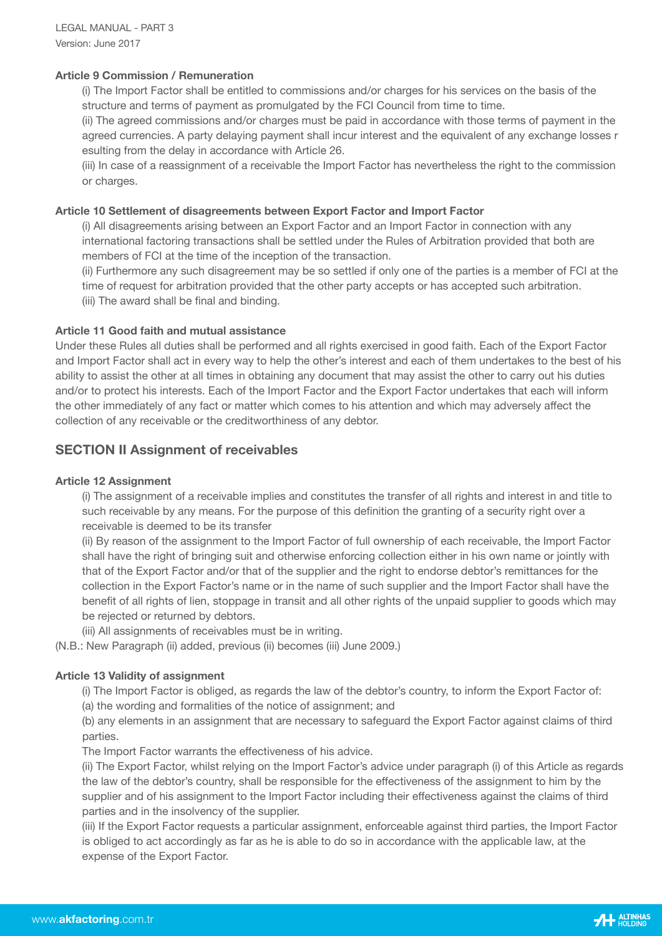### **Article 9 Commission / Remuneration**

 (i) The Import Factor shall be entitled to commissions and/or charges for his services on the basis of the structure and terms of payment as promulgated by the FCI Council from time to time.

 (ii) The agreed commissions and/or charges must be paid in accordance with those terms of payment in the agreed currencies. A party delaying payment shall incur interest and the equivalent of any exchange losses r esulting from the delay in accordance with Article 26.

 (iii) In case of a reassignment of a receivable the Import Factor has nevertheless the right to the commission or charges.

### **Article 10 Settlement of disagreements between Export Factor and Import Factor**

 (i) All disagreements arising between an Export Factor and an Import Factor in connection with any international factoring transactions shall be settled under the Rules of Arbitration provided that both are members of FCI at the time of the inception of the transaction.

 (ii) Furthermore any such disagreement may be so settled if only one of the parties is a member of FCI at the time of request for arbitration provided that the other party accepts or has accepted such arbitration.

(iii) The award shall be final and binding.

### **Article 11 Good faith and mutual assistance**

Under these Rules all duties shall be performed and all rights exercised in good faith. Each of the Export Factor and Import Factor shall act in every way to help the other's interest and each of them undertakes to the best of his ability to assist the other at all times in obtaining any document that may assist the other to carry out his duties and/or to protect his interests. Each of the Import Factor and the Export Factor undertakes that each will inform the other immediately of any fact or matter which comes to his attention and which may adversely affect the collection of any receivable or the creditworthiness of any debtor.

# **SECTION II Assignment of receivables**

### **Article 12 Assignment**

 (i) The assignment of a receivable implies and constitutes the transfer of all rights and interest in and title to such receivable by any means. For the purpose of this definition the granting of a security right over a receivable is deemed to be its transfer

 (ii) By reason of the assignment to the Import Factor of full ownership of each receivable, the Import Factor shall have the right of bringing suit and otherwise enforcing collection either in his own name or jointly with that of the Export Factor and/or that of the supplier and the right to endorse debtor's remittances for the collection in the Export Factor's name or in the name of such supplier and the Import Factor shall have the benefit of all rights of lien, stoppage in transit and all other rights of the unpaid supplier to goods which may be rejected or returned by debtors.

(iii) All assignments of receivables must be in writing.

(N.B.: New Paragraph (ii) added, previous (ii) becomes (iii) June 2009.)

### **Article 13 Validity of assignment**

 (i) The Import Factor is obliged, as regards the law of the debtor's country, to inform the Export Factor of: (a) the wording and formalities of the notice of assignment; and

 (b) any elements in an assignment that are necessary to safeguard the Export Factor against claims of third parties.

The Import Factor warrants the effectiveness of his advice.

 (ii) The Export Factor, whilst relying on the Import Factor's advice under paragraph (i) of this Article as regards the law of the debtor's country, shall be responsible for the effectiveness of the assignment to him by the supplier and of his assignment to the Import Factor including their effectiveness against the claims of third parties and in the insolvency of the supplier.

 (iii) If the Export Factor requests a particular assignment, enforceable against third parties, the Import Factor is obliged to act accordingly as far as he is able to do so in accordance with the applicable law, at the expense of the Export Factor.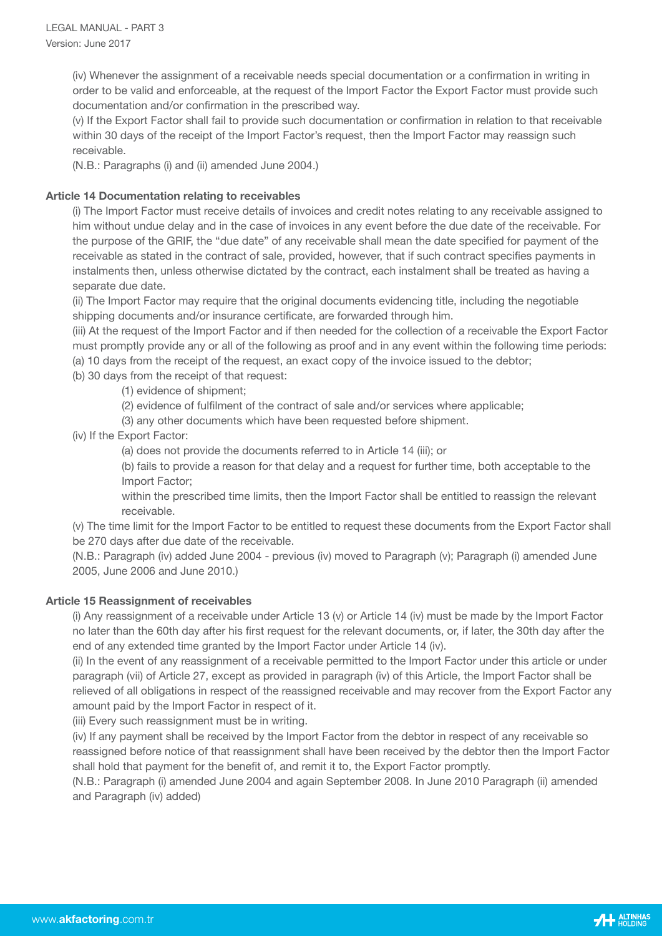(iv) Whenever the assignment of a receivable needs special documentation or a confirmation in writing in order to be valid and enforceable, at the request of the Import Factor the Export Factor must provide such documentation and/or confirmation in the prescribed way.

 (v) If the Export Factor shall fail to provide such documentation or confirmation in relation to that receivable within 30 days of the receipt of the Import Factor's request, then the Import Factor may reassign such receivable.

(N.B.: Paragraphs (i) and (ii) amended June 2004.)

# **Article 14 Documentation relating to receivables**

 (i) The Import Factor must receive details of invoices and credit notes relating to any receivable assigned to him without undue delay and in the case of invoices in any event before the due date of the receivable. For the purpose of the GRIF, the "due date" of any receivable shall mean the date specified for payment of the receivable as stated in the contract of sale, provided, however, that if such contract specifies payments in instalments then, unless otherwise dictated by the contract, each instalment shall be treated as having a separate due date.

 (ii) The Import Factor may require that the original documents evidencing title, including the negotiable shipping documents and/or insurance certificate, are forwarded through him.

 (iii) At the request of the Import Factor and if then needed for the collection of a receivable the Export Factor must promptly provide any or all of the following as proof and in any event within the following time periods: (a) 10 days from the receipt of the request, an exact copy of the invoice issued to the debtor;

- (b) 30 days from the receipt of that request:
	- (1) evidence of shipment;
	- (2) evidence of fulfilment of the contract of sale and/or services where applicable;
	- (3) any other documents which have been requested before shipment.

(iv) If the Export Factor:

(a) does not provide the documents referred to in Article 14 (iii); or

 (b) fails to provide a reason for that delay and a request for further time, both acceptable to the Import Factor;

 within the prescribed time limits, then the Import Factor shall be entitled to reassign the relevant receivable.

 (v) The time limit for the Import Factor to be entitled to request these documents from the Export Factor shall be 270 days after due date of the receivable.

 (N.B.: Paragraph (iv) added June 2004 - previous (iv) moved to Paragraph (v); Paragraph (i) amended June 2005, June 2006 and June 2010.)

# **Article 15 Reassignment of receivables**

 (i) Any reassignment of a receivable under Article 13 (v) or Article 14 (iv) must be made by the Import Factor no later than the 60th day after his first request for the relevant documents, or, if later, the 30th day after the end of any extended time granted by the Import Factor under Article 14 (iv).

 (ii) In the event of any reassignment of a receivable permitted to the Import Factor under this article or under paragraph (vii) of Article 27, except as provided in paragraph (iv) of this Article, the Import Factor shall be relieved of all obligations in respect of the reassigned receivable and may recover from the Export Factor any amount paid by the Import Factor in respect of it.

(iii) Every such reassignment must be in writing.

 (iv) If any payment shall be received by the Import Factor from the debtor in respect of any receivable so reassigned before notice of that reassignment shall have been received by the debtor then the Import Factor shall hold that payment for the benefit of, and remit it to, the Export Factor promptly.

 (N.B.: Paragraph (i) amended June 2004 and again September 2008. In June 2010 Paragraph (ii) amended and Paragraph (iv) added)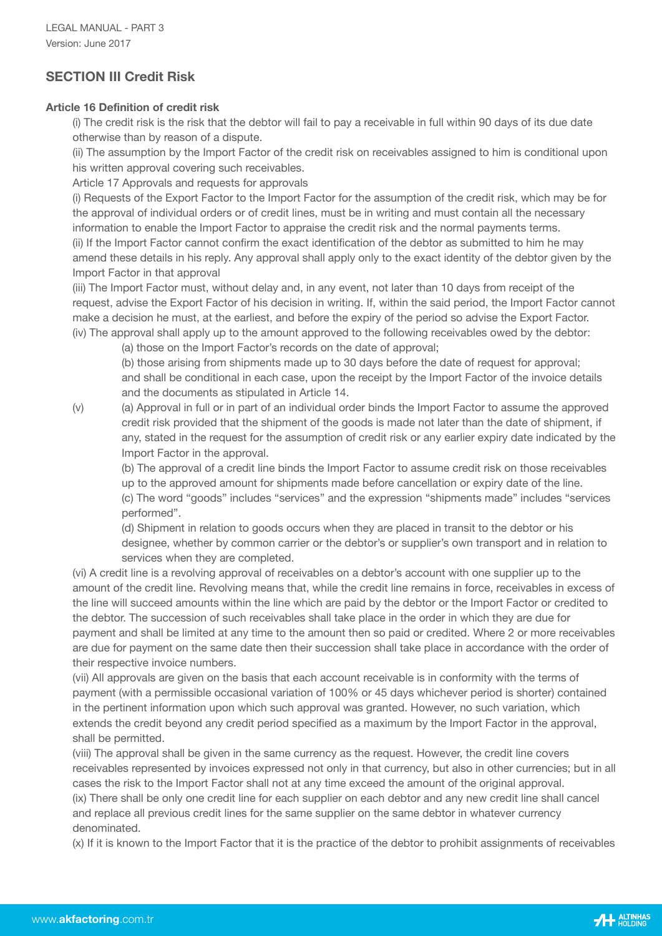# **SECTION III Credit Risk**

# **Article 16 Definition of credit risk**

 (i) The credit risk is the risk that the debtor will fail to pay a receivable in full within 90 days of its due date otherwise than by reason of a dispute.

 (ii) The assumption by the Import Factor of the credit risk on receivables assigned to him is conditional upon his written approval covering such receivables.

Article 17 Approvals and requests for approvals

 (i) Requests of the Export Factor to the Import Factor for the assumption of the credit risk, which may be for the approval of individual orders or of credit lines, must be in writing and must contain all the necessary information to enable the Import Factor to appraise the credit risk and the normal payments terms. (ii) If the Import Factor cannot confirm the exact identification of the debtor as submitted to him he may amend these details in his reply. Any approval shall apply only to the exact identity of the debtor given by the Import Factor in that approval

 (iii) The Import Factor must, without delay and, in any event, not later than 10 days from receipt of the request, advise the Export Factor of his decision in writing. If, within the said period, the Import Factor cannot make a decision he must, at the earliest, and before the expiry of the period so advise the Export Factor. (iv) The approval shall apply up to the amount approved to the following receivables owed by the debtor:

(a) those on the Import Factor's records on the date of approval;

 (b) those arising from shipments made up to 30 days before the date of request for approval; and shall be conditional in each case, upon the receipt by the Import Factor of the invoice details and the documents as stipulated in Article 14.

 (v) (a) Approval in full or in part of an individual order binds the Import Factor to assume the approved credit risk provided that the shipment of the goods is made not later than the date of shipment, if any, stated in the request for the assumption of credit risk or any earlier expiry date indicated by the Import Factor in the approval.

 (b) The approval of a credit line binds the Import Factor to assume credit risk on those receivables up to the approved amount for shipments made before cancellation or expiry date of the line. (c) The word "goods" includes "services" and the expression "shipments made" includes "services performed".

 (d) Shipment in relation to goods occurs when they are placed in transit to the debtor or his designee, whether by common carrier or the debtor's or supplier's own transport and in relation to services when they are completed.

 (vi) A credit line is a revolving approval of receivables on a debtor's account with one supplier up to the amount of the credit line. Revolving means that, while the credit line remains in force, receivables in excess of the line will succeed amounts within the line which are paid by the debtor or the Import Factor or credited to the debtor. The succession of such receivables shall take place in the order in which they are due for payment and shall be limited at any time to the amount then so paid or credited. Where 2 or more receivables are due for payment on the same date then their succession shall take place in accordance with the order of their respective invoice numbers.

 (vii) All approvals are given on the basis that each account receivable is in conformity with the terms of payment (with a permissible occasional variation of 100% or 45 days whichever period is shorter) contained in the pertinent information upon which such approval was granted. However, no such variation, which extends the credit beyond any credit period specified as a maximum by the Import Factor in the approval, shall be permitted.

 (viii) The approval shall be given in the same currency as the request. However, the credit line covers receivables represented by invoices expressed not only in that currency, but also in other currencies; but in all cases the risk to the Import Factor shall not at any time exceed the amount of the original approval. (ix) There shall be only one credit line for each supplier on each debtor and any new credit line shall cancel and replace all previous credit lines for the same supplier on the same debtor in whatever currency denominated.

(x) If it is known to the Import Factor that it is the practice of the debtor to prohibit assignments of receivables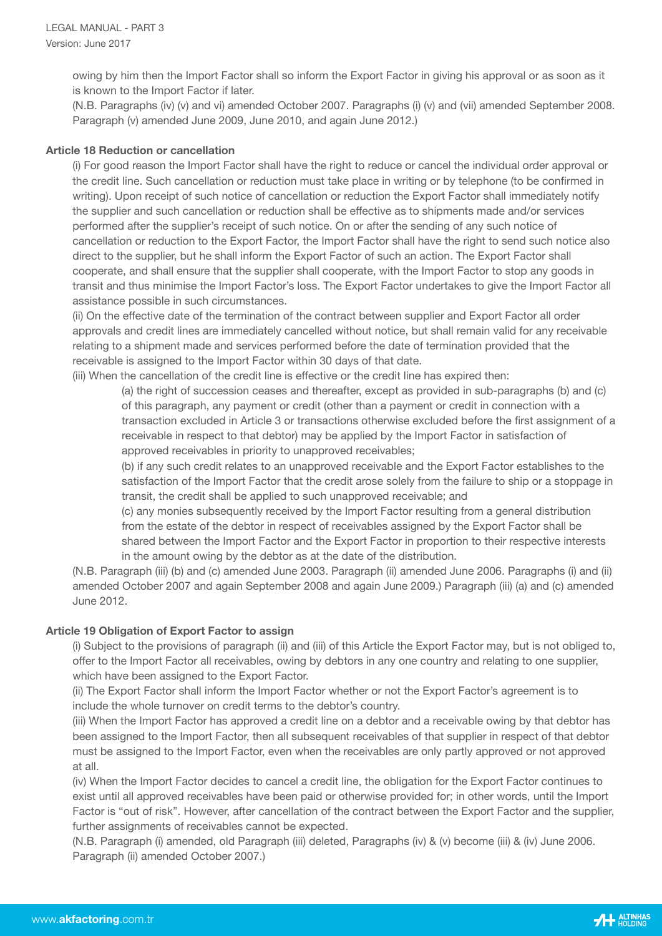owing by him then the Import Factor shall so inform the Export Factor in giving his approval or as soon as it is known to the Import Factor if later.

 (N.B. Paragraphs (iv) (v) and vi) amended October 2007. Paragraphs (i) (v) and (vii) amended September 2008. Paragraph (v) amended June 2009, June 2010, and again June 2012.)

### **Article 18 Reduction or cancellation**

 (i) For good reason the Import Factor shall have the right to reduce or cancel the individual order approval or the credit line. Such cancellation or reduction must take place in writing or by telephone (to be confirmed in writing). Upon receipt of such notice of cancellation or reduction the Export Factor shall immediately notify the supplier and such cancellation or reduction shall be effective as to shipments made and/or services performed after the supplier's receipt of such notice. On or after the sending of any such notice of cancellation or reduction to the Export Factor, the Import Factor shall have the right to send such notice also direct to the supplier, but he shall inform the Export Factor of such an action. The Export Factor shall cooperate, and shall ensure that the supplier shall cooperate, with the Import Factor to stop any goods in transit and thus minimise the Import Factor's loss. The Export Factor undertakes to give the Import Factor all assistance possible in such circumstances.

 (ii) On the effective date of the termination of the contract between supplier and Export Factor all order approvals and credit lines are immediately cancelled without notice, but shall remain valid for any receivable relating to a shipment made and services performed before the date of termination provided that the receivable is assigned to the Import Factor within 30 days of that date.

(iii) When the cancellation of the credit line is effective or the credit line has expired then:

 (a) the right of succession ceases and thereafter, except as provided in sub-paragraphs (b) and (c) of this paragraph, any payment or credit (other than a payment or credit in connection with a transaction excluded in Article 3 or transactions otherwise excluded before the first assignment of a receivable in respect to that debtor) may be applied by the Import Factor in satisfaction of approved receivables in priority to unapproved receivables;

 (b) if any such credit relates to an unapproved receivable and the Export Factor establishes to the satisfaction of the Import Factor that the credit arose solely from the failure to ship or a stoppage in transit, the credit shall be applied to such unapproved receivable; and

 (c) any monies subsequently received by the Import Factor resulting from a general distribution from the estate of the debtor in respect of receivables assigned by the Export Factor shall be shared between the Import Factor and the Export Factor in proportion to their respective interests in the amount owing by the debtor as at the date of the distribution.

 (N.B. Paragraph (iii) (b) and (c) amended June 2003. Paragraph (ii) amended June 2006. Paragraphs (i) and (ii) amended October 2007 and again September 2008 and again June 2009.) Paragraph (iii) (a) and (c) amended June 2012.

# **Article 19 Obligation of Export Factor to assign**

 (i) Subject to the provisions of paragraph (ii) and (iii) of this Article the Export Factor may, but is not obliged to, offer to the Import Factor all receivables, owing by debtors in any one country and relating to one supplier, which have been assigned to the Export Factor.

 (ii) The Export Factor shall inform the Import Factor whether or not the Export Factor's agreement is to include the whole turnover on credit terms to the debtor's country.

 (iii) When the Import Factor has approved a credit line on a debtor and a receivable owing by that debtor has been assigned to the Import Factor, then all subsequent receivables of that supplier in respect of that debtor must be assigned to the Import Factor, even when the receivables are only partly approved or not approved at all.

 (iv) When the Import Factor decides to cancel a credit line, the obligation for the Export Factor continues to exist until all approved receivables have been paid or otherwise provided for; in other words, until the Import Factor is "out of risk". However, after cancellation of the contract between the Export Factor and the supplier, further assignments of receivables cannot be expected.

 (N.B. Paragraph (i) amended, old Paragraph (iii) deleted, Paragraphs (iv) & (v) become (iii) & (iv) June 2006. Paragraph (ii) amended October 2007.)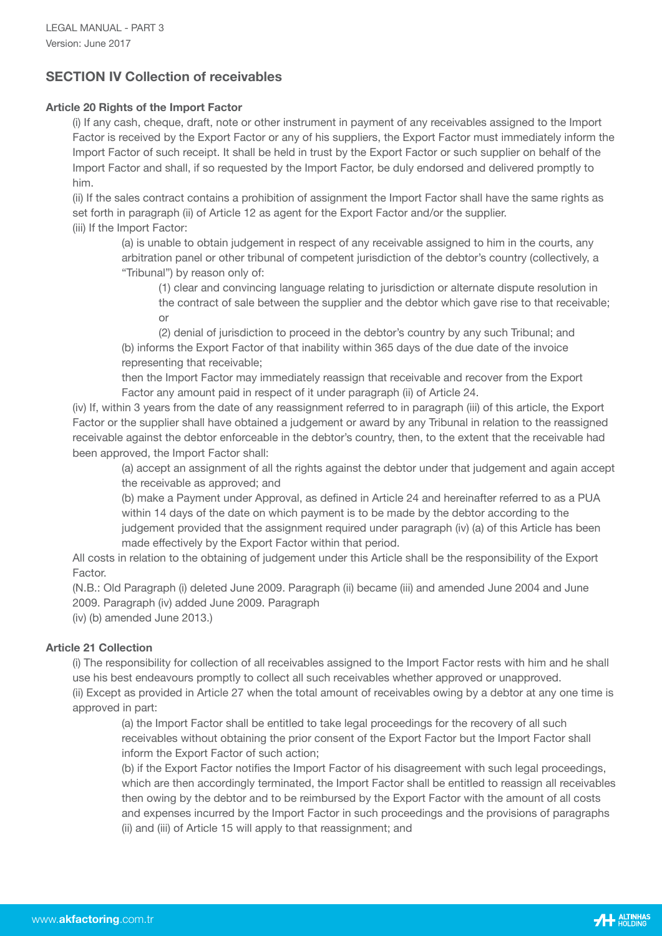# **SECTION IV Collection of receivables**

# **Article 20 Rights of the Import Factor**

 (i) If any cash, cheque, draft, note or other instrument in payment of any receivables assigned to the Import Factor is received by the Export Factor or any of his suppliers, the Export Factor must immediately inform the Import Factor of such receipt. It shall be held in trust by the Export Factor or such supplier on behalf of the Import Factor and shall, if so requested by the Import Factor, be duly endorsed and delivered promptly to him.

 (ii) If the sales contract contains a prohibition of assignment the Import Factor shall have the same rights as set forth in paragraph (ii) of Article 12 as agent for the Export Factor and/or the supplier. (iii) If the Import Factor:

 (a) is unable to obtain judgement in respect of any receivable assigned to him in the courts, any arbitration panel or other tribunal of competent jurisdiction of the debtor's country (collectively, a "Tribunal") by reason only of:

 (1) clear and convincing language relating to jurisdiction or alternate dispute resolution in the contract of sale between the supplier and the debtor which gave rise to that receivable; **order** and the contract of the contract of the contract of the contract of the contract of the contract of the contract of the contract of the contract of the contract of the contract of the contract of the contract of th

> (2) denial of jurisdiction to proceed in the debtor's country by any such Tribunal; and (b) informs the Export Factor of that inability within 365 days of the due date of the invoice representing that receivable;

 then the Import Factor may immediately reassign that receivable and recover from the Export Factor any amount paid in respect of it under paragraph (ii) of Article 24.

 (iv) If, within 3 years from the date of any reassignment referred to in paragraph (iii) of this article, the Export Factor or the supplier shall have obtained a judgement or award by any Tribunal in relation to the reassigned receivable against the debtor enforceable in the debtor's country, then, to the extent that the receivable had been approved, the Import Factor shall:

 (a) accept an assignment of all the rights against the debtor under that judgement and again accept the receivable as approved; and

 (b) make a Payment under Approval, as defined in Article 24 and hereinafter referred to as a PUA within 14 days of the date on which payment is to be made by the debtor according to the judgement provided that the assignment required under paragraph (iv) (a) of this Article has been made effectively by the Export Factor within that period.

 All costs in relation to the obtaining of judgement under this Article shall be the responsibility of the Export Factor.

 (N.B.: Old Paragraph (i) deleted June 2009. Paragraph (ii) became (iii) and amended June 2004 and June 2009. Paragraph (iv) added June 2009. Paragraph

(iv) (b) amended June 2013.)

# **Article 21 Collection**

 (i) The responsibility for collection of all receivables assigned to the Import Factor rests with him and he shall use his best endeavours promptly to collect all such receivables whether approved or unapproved. (ii) Except as provided in Article 27 when the total amount of receivables owing by a debtor at any one time is

approved in part:

 (a) the Import Factor shall be entitled to take legal proceedings for the recovery of all such receivables without obtaining the prior consent of the Export Factor but the Import Factor shall inform the Export Factor of such action;

 (b) if the Export Factor notifies the Import Factor of his disagreement with such legal proceedings, which are then accordingly terminated, the Import Factor shall be entitled to reassign all receivables then owing by the debtor and to be reimbursed by the Export Factor with the amount of all costs and expenses incurred by the Import Factor in such proceedings and the provisions of paragraphs (ii) and (iii) of Article 15 will apply to that reassignment; and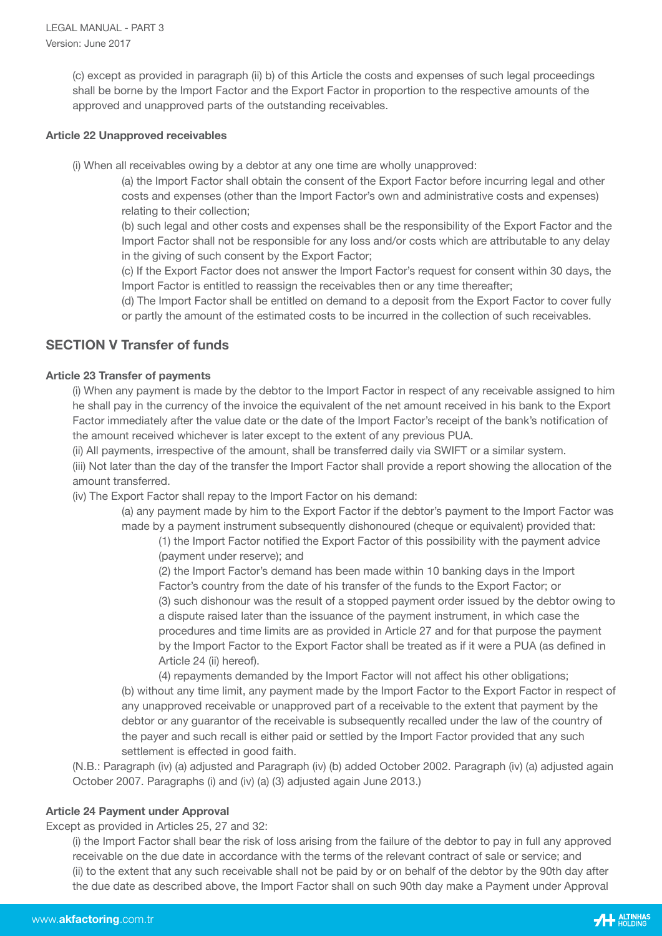(c) except as provided in paragraph (ii) b) of this Article the costs and expenses of such legal proceedings shall be borne by the Import Factor and the Export Factor in proportion to the respective amounts of the approved and unapproved parts of the outstanding receivables.

### **Article 22 Unapproved receivables**

(i) When all receivables owing by a debtor at any one time are wholly unapproved:

 (a) the Import Factor shall obtain the consent of the Export Factor before incurring legal and other costs and expenses (other than the Import Factor's own and administrative costs and expenses) relating to their collection;

 (b) such legal and other costs and expenses shall be the responsibility of the Export Factor and the Import Factor shall not be responsible for any loss and/or costs which are attributable to any delay in the giving of such consent by the Export Factor;

 (c) If the Export Factor does not answer the Import Factor's request for consent within 30 days, the Import Factor is entitled to reassign the receivables then or any time thereafter;

 (d) The Import Factor shall be entitled on demand to a deposit from the Export Factor to cover fully or partly the amount of the estimated costs to be incurred in the collection of such receivables.

# **SECTION V Transfer of funds**

# **Article 23 Transfer of payments**

 (i) When any payment is made by the debtor to the Import Factor in respect of any receivable assigned to him he shall pay in the currency of the invoice the equivalent of the net amount received in his bank to the Export Factor immediately after the value date or the date of the Import Factor's receipt of the bank's notification of the amount received whichever is later except to the extent of any previous PUA.

(ii) All payments, irrespective of the amount, shall be transferred daily via SWIFT or a similar system.

 (iii) Not later than the day of the transfer the Import Factor shall provide a report showing the allocation of the amount transferred.

(iv) The Export Factor shall repay to the Import Factor on his demand:

 (a) any payment made by him to the Export Factor if the debtor's payment to the Import Factor was made by a payment instrument subsequently dishonoured (cheque or equivalent) provided that:

 (1) the Import Factor notified the Export Factor of this possibility with the payment advice (payment under reserve); and

 (2) the Import Factor's demand has been made within 10 banking days in the Import Factor's country from the date of his transfer of the funds to the Export Factor; or (3) such dishonour was the result of a stopped payment order issued by the debtor owing to a dispute raised later than the issuance of the payment instrument, in which case the procedures and time limits are as provided in Article 27 and for that purpose the payment by the Import Factor to the Export Factor shall be treated as if it were a PUA (as defined in Article 24 (ii) hereof).

 (4) repayments demanded by the Import Factor will not affect his other obligations; (b) without any time limit, any payment made by the Import Factor to the Export Factor in respect of any unapproved receivable or unapproved part of a receivable to the extent that payment by the debtor or any guarantor of the receivable is subsequently recalled under the law of the country of the payer and such recall is either paid or settled by the Import Factor provided that any such settlement is effected in good faith.

 (N.B.: Paragraph (iv) (a) adjusted and Paragraph (iv) (b) added October 2002. Paragraph (iv) (a) adjusted again October 2007. Paragraphs (i) and (iv) (a) (3) adjusted again June 2013.)

# **Article 24 Payment under Approval**

Except as provided in Articles 25, 27 and 32:

 (i) the Import Factor shall bear the risk of loss arising from the failure of the debtor to pay in full any approved receivable on the due date in accordance with the terms of the relevant contract of sale or service; and (ii) to the extent that any such receivable shall not be paid by or on behalf of the debtor by the 90th day after the due date as described above, the Import Factor shall on such 90th day make a Payment under Approval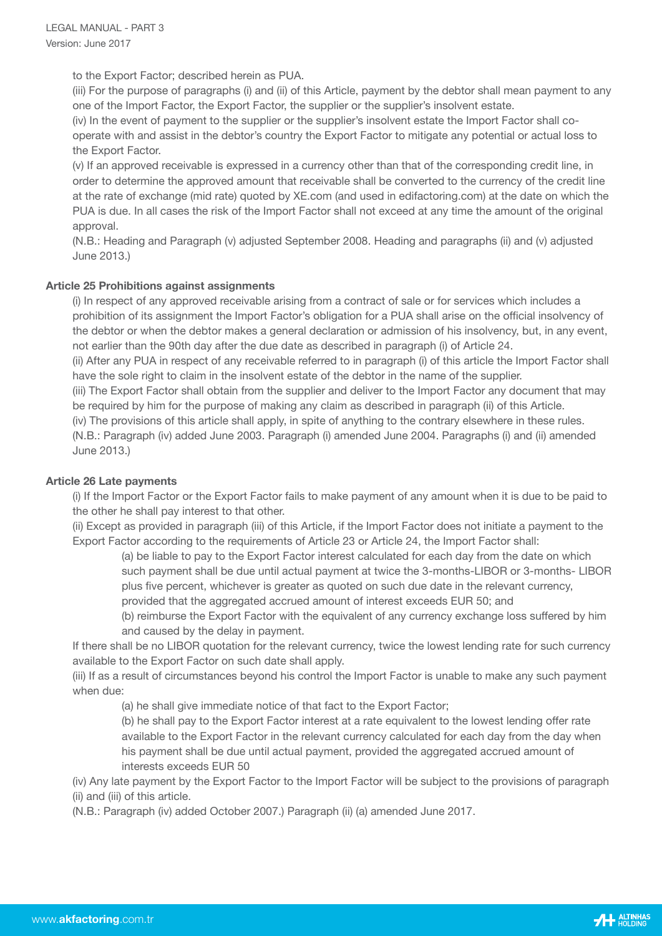to the Export Factor; described herein as PUA.

 (iii) For the purpose of paragraphs (i) and (ii) of this Article, payment by the debtor shall mean payment to any one of the Import Factor, the Export Factor, the supplier or the supplier's insolvent estate.

 (iv) In the event of payment to the supplier or the supplier's insolvent estate the Import Factor shall co operate with and assist in the debtor's country the Export Factor to mitigate any potential or actual loss to the Export Factor.

 (v) If an approved receivable is expressed in a currency other than that of the corresponding credit line, in order to determine the approved amount that receivable shall be converted to the currency of the credit line at the rate of exchange (mid rate) quoted by XE.com (and used in edifactoring.com) at the date on which the PUA is due. In all cases the risk of the Import Factor shall not exceed at any time the amount of the original approval.

 (N.B.: Heading and Paragraph (v) adjusted September 2008. Heading and paragraphs (ii) and (v) adjusted June 2013.)

# **Article 25 Prohibitions against assignments**

 (i) In respect of any approved receivable arising from a contract of sale or for services which includes a prohibition of its assignment the Import Factor's obligation for a PUA shall arise on the official insolvency of the debtor or when the debtor makes a general declaration or admission of his insolvency, but, in any event, not earlier than the 90th day after the due date as described in paragraph (i) of Article 24.

 (ii) After any PUA in respect of any receivable referred to in paragraph (i) of this article the Import Factor shall have the sole right to claim in the insolvent estate of the debtor in the name of the supplier.

 (iii) The Export Factor shall obtain from the supplier and deliver to the Import Factor any document that may be required by him for the purpose of making any claim as described in paragraph (ii) of this Article.

(iv) The provisions of this article shall apply, in spite of anything to the contrary elsewhere in these rules.

 (N.B.: Paragraph (iv) added June 2003. Paragraph (i) amended June 2004. Paragraphs (i) and (ii) amended June 2013.)

### **Article 26 Late payments**

 (i) If the Import Factor or the Export Factor fails to make payment of any amount when it is due to be paid to the other he shall pay interest to that other.

 (ii) Except as provided in paragraph (iii) of this Article, if the Import Factor does not initiate a payment to the Export Factor according to the requirements of Article 23 or Article 24, the Import Factor shall:

 (a) be liable to pay to the Export Factor interest calculated for each day from the date on which such payment shall be due until actual payment at twice the 3-months-LIBOR or 3-months- LIBOR plus five percent, whichever is greater as quoted on such due date in the relevant currency, provided that the aggregated accrued amount of interest exceeds EUR 50; and

 (b) reimburse the Export Factor with the equivalent of any currency exchange loss suffered by him and caused by the delay in payment.

 If there shall be no LIBOR quotation for the relevant currency, twice the lowest lending rate for such currency available to the Export Factor on such date shall apply.

 (iii) If as a result of circumstances beyond his control the Import Factor is unable to make any such payment when due:

(a) he shall give immediate notice of that fact to the Export Factor;

 (b) he shall pay to the Export Factor interest at a rate equivalent to the lowest lending offer rate available to the Export Factor in the relevant currency calculated for each day from the day when his payment shall be due until actual payment, provided the aggregated accrued amount of interests exceeds EUR 50

 (iv) Any late payment by the Export Factor to the Import Factor will be subject to the provisions of paragraph (ii) and (iii) of this article.

(N.B.: Paragraph (iv) added October 2007.) Paragraph (ii) (a) amended June 2017.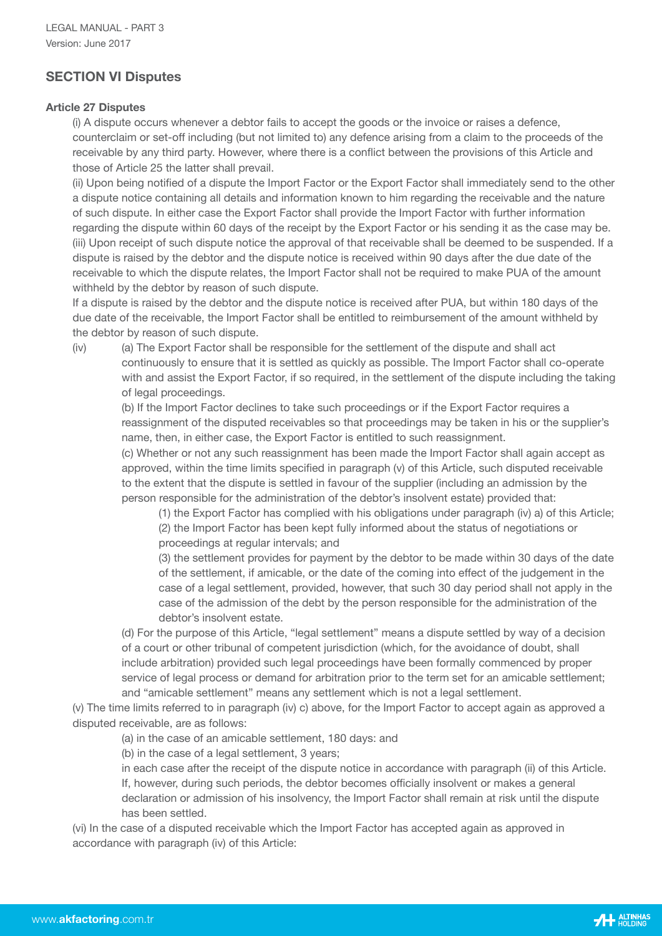# **SECTION VI Disputes**

### **Article 27 Disputes**

 (i) A dispute occurs whenever a debtor fails to accept the goods or the invoice or raises a defence, counterclaim or set-off including (but not limited to) any defence arising from a claim to the proceeds of the receivable by any third party. However, where there is a conflict between the provisions of this Article and those of Article 25 the latter shall prevail.

 (ii) Upon being notified of a dispute the Import Factor or the Export Factor shall immediately send to the other a dispute notice containing all details and information known to him regarding the receivable and the nature of such dispute. In either case the Export Factor shall provide the Import Factor with further information regarding the dispute within 60 days of the receipt by the Export Factor or his sending it as the case may be. (iii) Upon receipt of such dispute notice the approval of that receivable shall be deemed to be suspended. If a dispute is raised by the debtor and the dispute notice is received within 90 days after the due date of the receivable to which the dispute relates, the Import Factor shall not be required to make PUA of the amount withheld by the debtor by reason of such dispute.

 If a dispute is raised by the debtor and the dispute notice is received after PUA, but within 180 days of the due date of the receivable, the Import Factor shall be entitled to reimbursement of the amount withheld by the debtor by reason of such dispute.

 (iv) (a) The Export Factor shall be responsible for the settlement of the dispute and shall act continuously to ensure that it is settled as quickly as possible. The Import Factor shall co-operate with and assist the Export Factor, if so required, in the settlement of the dispute including the taking of legal proceedings.

 (b) If the Import Factor declines to take such proceedings or if the Export Factor requires a reassignment of the disputed receivables so that proceedings may be taken in his or the supplier's name, then, in either case, the Export Factor is entitled to such reassignment.

 (c) Whether or not any such reassignment has been made the Import Factor shall again accept as approved, within the time limits specified in paragraph (v) of this Article, such disputed receivable to the extent that the dispute is settled in favour of the supplier (including an admission by the person responsible for the administration of the debtor's insolvent estate) provided that:

 (1) the Export Factor has complied with his obligations under paragraph (iv) a) of this Article; (2) the Import Factor has been kept fully informed about the status of negotiations or proceedings at regular intervals; and

 (3) the settlement provides for payment by the debtor to be made within 30 days of the date of the settlement, if amicable, or the date of the coming into effect of the judgement in the case of a legal settlement, provided, however, that such 30 day period shall not apply in the case of the admission of the debt by the person responsible for the administration of the debtor's insolvent estate.

 (d) For the purpose of this Article, "legal settlement" means a dispute settled by way of a decision of a court or other tribunal of competent jurisdiction (which, for the avoidance of doubt, shall include arbitration) provided such legal proceedings have been formally commenced by proper service of legal process or demand for arbitration prior to the term set for an amicable settlement; and "amicable settlement" means any settlement which is not a legal settlement.

 (v) The time limits referred to in paragraph (iv) c) above, for the Import Factor to accept again as approved a disputed receivable, are as follows:

(a) in the case of an amicable settlement, 180 days: and

(b) in the case of a legal settlement, 3 years;

 in each case after the receipt of the dispute notice in accordance with paragraph (ii) of this Article. If, however, during such periods, the debtor becomes officially insolvent or makes a general declaration or admission of his insolvency, the Import Factor shall remain at risk until the dispute has been settled.

 (vi) In the case of a disputed receivable which the Import Factor has accepted again as approved in accordance with paragraph (iv) of this Article: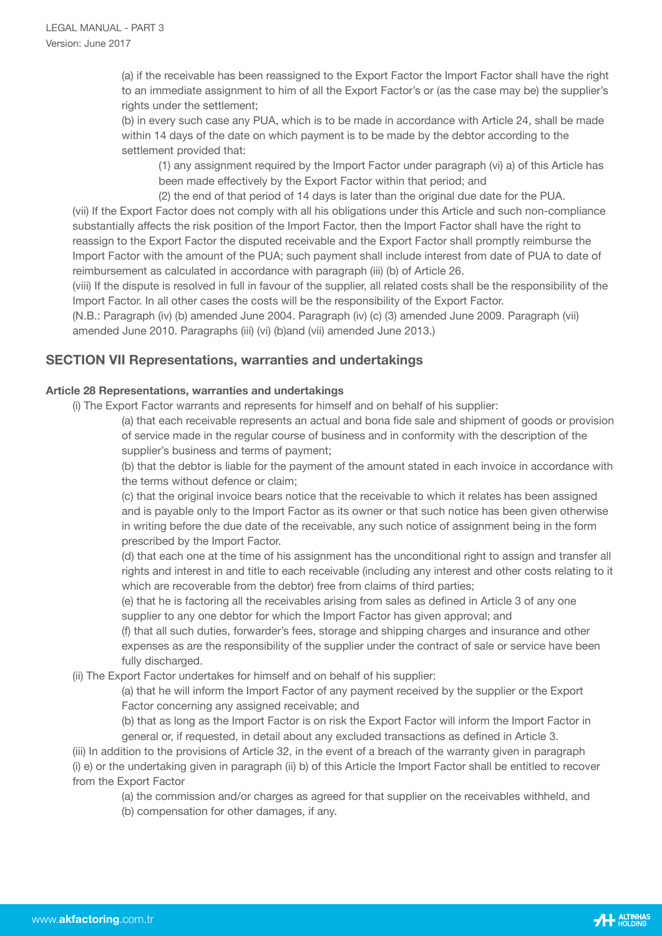(a) if the receivable has been reassigned to the Export Factor the Import Factor shall have the right to an immediate assignment to him of all the Export Factor's or (as the case may be) the supplier's rights under the settlement;

 (b) in every such case any PUA, which is to be made in accordance with Article 24, shall be made within 14 days of the date on which payment is to be made by the debtor according to the settlement provided that:

 (1) any assignment required by the Import Factor under paragraph (vi) a) of this Article has been made effectively by the Export Factor within that period; and

 (2) the end of that period of 14 days is later than the original due date for the PUA. (vii) If the Export Factor does not comply with all his obligations under this Article and such non-compliance substantially affects the risk position of the Import Factor, then the Import Factor shall have the right to reassign to the Export Factor the disputed receivable and the Export Factor shall promptly reimburse the Import Factor with the amount of the PUA; such payment shall include interest from date of PUA to date of reimbursement as calculated in accordance with paragraph (iii) (b) of Article 26.

 (viii) If the dispute is resolved in full in favour of the supplier, all related costs shall be the responsibility of the Import Factor. In all other cases the costs will be the responsibility of the Export Factor.

 (N.B.: Paragraph (iv) (b) amended June 2004. Paragraph (iv) (c) (3) amended June 2009. Paragraph (vii) amended June 2010. Paragraphs (iii) (vi) (b)and (vii) amended June 2013.)

# **SECTION VII Representations, warranties and undertakings**

# **Article 28 Representations, warranties and undertakings**

(i) The Export Factor warrants and represents for himself and on behalf of his supplier:

 (a) that each receivable represents an actual and bona fide sale and shipment of goods or provision of service made in the regular course of business and in conformity with the description of the supplier's business and terms of payment;

 (b) that the debtor is liable for the payment of the amount stated in each invoice in accordance with the terms without defence or claim;

 (c) that the original invoice bears notice that the receivable to which it relates has been assigned and is payable only to the Import Factor as its owner or that such notice has been given otherwise in writing before the due date of the receivable, any such notice of assignment being in the form prescribed by the Import Factor.

 (d) that each one at the time of his assignment has the unconditional right to assign and transfer all rights and interest in and title to each receivable (including any interest and other costs relating to it which are recoverable from the debtor) free from claims of third parties;

 (e) that he is factoring all the receivables arising from sales as defined in Article 3 of any one supplier to any one debtor for which the Import Factor has given approval; and

 (f) that all such duties, forwarder's fees, storage and shipping charges and insurance and other expenses as are the responsibility of the supplier under the contract of sale or service have been fully discharged.

(ii) The Export Factor undertakes for himself and on behalf of his supplier:

 (a) that he will inform the Import Factor of any payment received by the supplier or the Export Factor concerning any assigned receivable; and

 (b) that as long as the Import Factor is on risk the Export Factor will inform the Import Factor in general or, if requested, in detail about any excluded transactions as defined in Article 3.

 (iii) In addition to the provisions of Article 32, in the event of a breach of the warranty given in paragraph (i) e) or the undertaking given in paragraph (ii) b) of this Article the Import Factor shall be entitled to recover from the Export Factor

(a) the commission and/or charges as agreed for that supplier on the receivables withheld, and

(b) compensation for other damages, if any.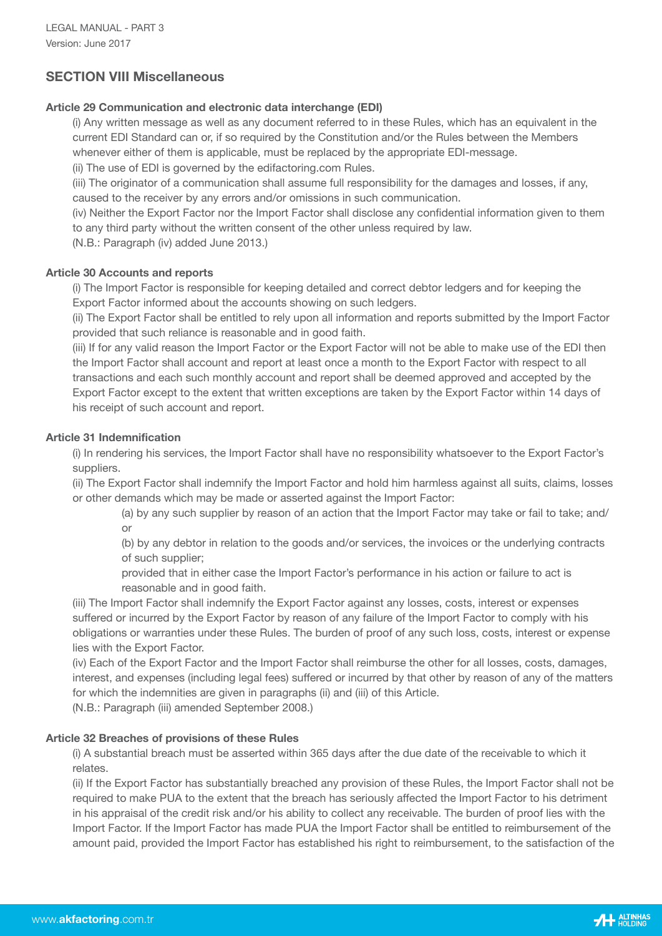# **SECTION VIII Miscellaneous**

# **Article 29 Communication and electronic data interchange (EDI)**

 (i) Any written message as well as any document referred to in these Rules, which has an equivalent in the current EDI Standard can or, if so required by the Constitution and/or the Rules between the Members whenever either of them is applicable, must be replaced by the appropriate EDI-message.

(ii) The use of EDI is governed by the edifactoring.com Rules.

 (iii) The originator of a communication shall assume full responsibility for the damages and losses, if any, caused to the receiver by any errors and/or omissions in such communication.

 (iv) Neither the Export Factor nor the Import Factor shall disclose any confidential information given to them to any third party without the written consent of the other unless required by law.

(N.B.: Paragraph (iv) added June 2013.)

# **Article 30 Accounts and reports**

 (i) The Import Factor is responsible for keeping detailed and correct debtor ledgers and for keeping the Export Factor informed about the accounts showing on such ledgers.

 (ii) The Export Factor shall be entitled to rely upon all information and reports submitted by the Import Factor provided that such reliance is reasonable and in good faith.

 (iii) If for any valid reason the Import Factor or the Export Factor will not be able to make use of the EDI then the Import Factor shall account and report at least once a month to the Export Factor with respect to all transactions and each such monthly account and report shall be deemed approved and accepted by the Export Factor except to the extent that written exceptions are taken by the Export Factor within 14 days of his receipt of such account and report.

# **Article 31 Indemnification**

 (i) In rendering his services, the Import Factor shall have no responsibility whatsoever to the Export Factor's suppliers.

 (ii) The Export Factor shall indemnify the Import Factor and hold him harmless against all suits, claims, losses or other demands which may be made or asserted against the Import Factor:

 (a) by any such supplier by reason of an action that the Import Factor may take or fail to take; and/ **or or** 

> (b) by any debtor in relation to the goods and/or services, the invoices or the underlying contracts of such supplier;

 provided that in either case the Import Factor's performance in his action or failure to act is reasonable and in good faith.

 (iii) The Import Factor shall indemnify the Export Factor against any losses, costs, interest or expenses suffered or incurred by the Export Factor by reason of any failure of the Import Factor to comply with his obligations or warranties under these Rules. The burden of proof of any such loss, costs, interest or expense lies with the Export Factor.

 (iv) Each of the Export Factor and the Import Factor shall reimburse the other for all losses, costs, damages, interest, and expenses (including legal fees) suffered or incurred by that other by reason of any of the matters for which the indemnities are given in paragraphs (ii) and (iii) of this Article.

(N.B.: Paragraph (iii) amended September 2008.)

### **Article 32 Breaches of provisions of these Rules**

 (i) A substantial breach must be asserted within 365 days after the due date of the receivable to which it relates.

 (ii) If the Export Factor has substantially breached any provision of these Rules, the Import Factor shall not be required to make PUA to the extent that the breach has seriously affected the Import Factor to his detriment in his appraisal of the credit risk and/or his ability to collect any receivable. The burden of proof lies with the Import Factor. If the Import Factor has made PUA the Import Factor shall be entitled to reimbursement of the amount paid, provided the Import Factor has established his right to reimbursement, to the satisfaction of the